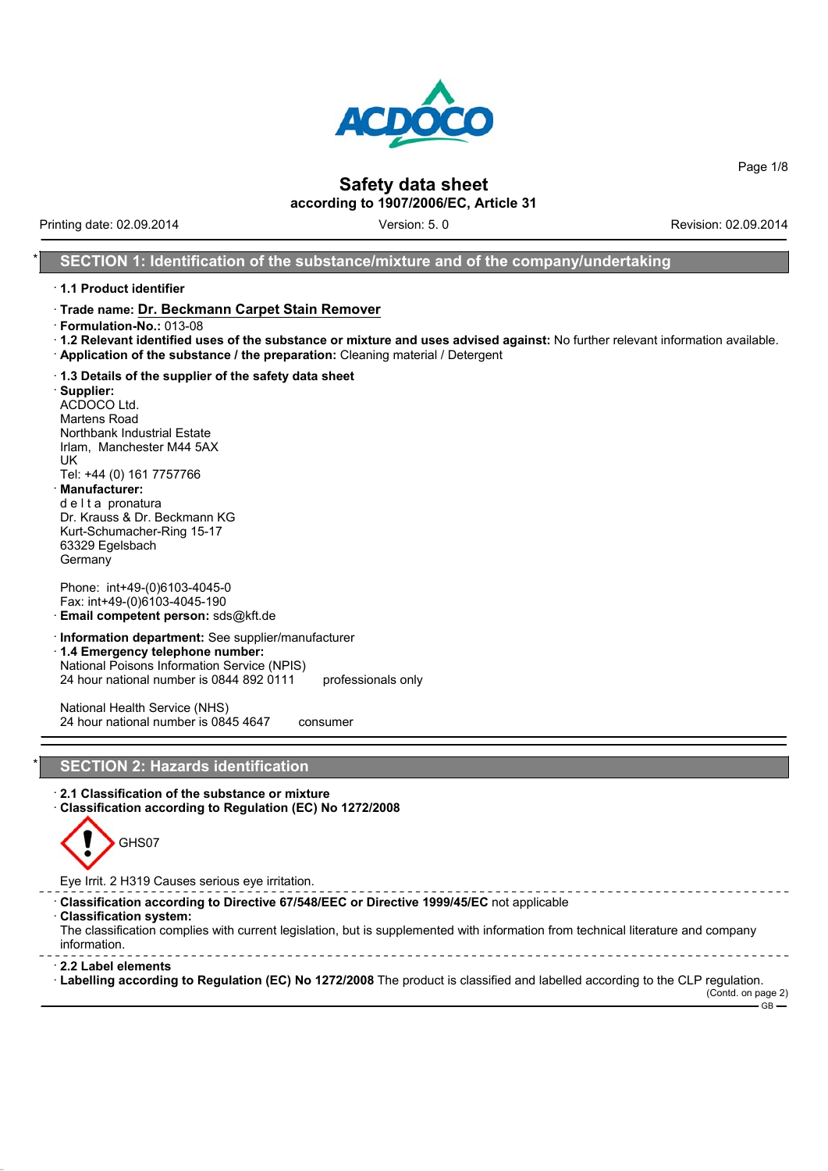

Page 1/8

## **Safety data sheet**

**according to 1907/2006/EC, Article 31**

Printing date: 02.09.2014 **Version: 5.0** Version: 5. 0 Revision: 02.09.2014

#### **SECTION 1: Identification of the substance/mixture and of the company/undertaking**

#### · **1.1 Product identifier**

#### · **Trade name: Dr. Beckmann Carpet Stain Remover**

- · **Formulation-No.:** 013-08
- · **1.2 Relevant identified uses of the substance or mixture and uses advised against:** No further relevant information available. · **Application of the substance / the preparation:** Cleaning material / Detergent
- · **1.3 Details of the supplier of the safety data sheet**

· **Supplier:** ACDOCO Ltd. Martens Road Northbank Industrial Estate Irlam, Manchester M44 5AX UK Tel: +44 (0) 161 7757766 · **Manufacturer:** d e l t a pronatura

Dr. Krauss & Dr. Beckmann KG Kurt-Schumacher-Ring 15-17 63329 Egelsbach Germany

Phone: int+49-(0)6103-4045-0 Fax: int+49-(0)6103-4045-190

- · **Email competent person:** sds@kft.de
- · **Information department:** See supplier/manufacturer
- · **1.4 Emergency telephone number:** National Poisons Information Service (NPIS)
- 24 hour national number is 0844 892 0111 professionals only

National Health Service (NHS) 24 hour national number is 0845 4647 consumer

#### **SECTION 2: Hazards identification**

- · **2.1 Classification of the substance or mixture**
- · **Classification according to Regulation (EC) No 1272/2008**



Eye Irrit. 2 H319 Causes serious eye irritation.

- · **Classification according to Directive 67/548/EEC or Directive 1999/45/EC** not applicable
- · **Classification system:**

The classification complies with current legislation, but is supplemented with information from technical literature and company information. 

- · **2.2 Label elements**
- · **Labelling according to Regulation (EC) No 1272/2008** The product is classified and labelled according to the CLP regulation.

(Contd. on page 2)  $-$ GB $-$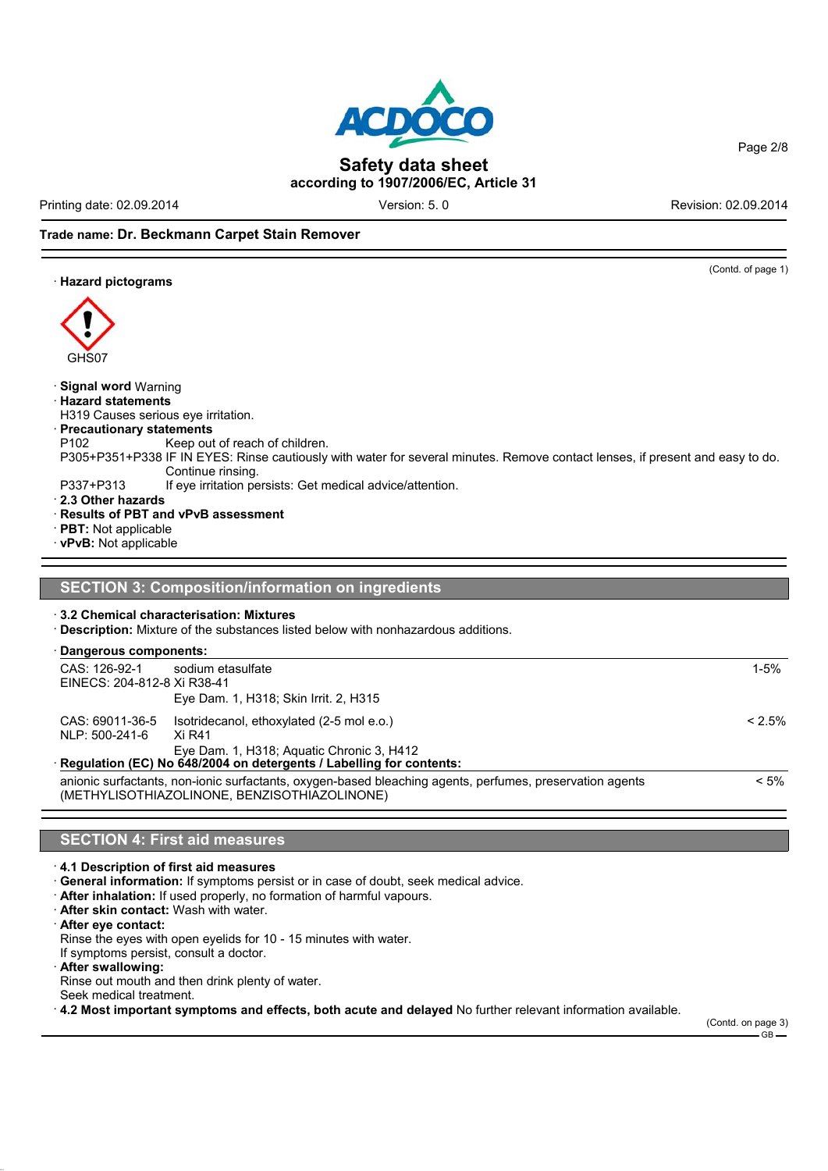Printing date: 02.09.2014 **Version: 5.0** Version: 5. 0 Revision: 02.09.2014

Page 2/8

#### **Trade name: Dr. Beckmann Carpet Stain Remover**

· **Hazard pictograms**



#### · **Signal word** Warning

#### · **Hazard statements**

H319 Causes serious eye irritation.

#### · **Precautionary statements**

- P102 Keep out of reach of children.
- P305+P351+P338 IF IN EYES: Rinse cautiously with water for several minutes. Remove contact lenses, if present and easy to do. Continue rinsing.
- P337+P313 If eye irritation persists: Get medical advice/attention.

· **2.3 Other hazards**

- · **Results of PBT and vPvB assessment**
- · **PBT:** Not applicable
- · **vPvB:** Not applicable

#### **SECTION 3: Composition/information on ingredients**

#### · **3.2 Chemical characterisation: Mixtures**

· **Description:** Mixture of the substances listed below with nonhazardous additions.

#### · **Dangerous components:**

| CAS: 126-92-1               | sodium etasulfate                                                                                        | $1 - 5%$  |
|-----------------------------|----------------------------------------------------------------------------------------------------------|-----------|
| EINECS: 204-812-8 Xi R38-41 |                                                                                                          |           |
|                             | Eye Dam. 1, H318; Skin Irrit. 2, H315                                                                    |           |
| CAS: 69011-36-5             | Isotridecanol, ethoxylated (2-5 mol e.o.)                                                                | $< 2.5\%$ |
| NLP: 500-241-6              | Xi R41                                                                                                   |           |
|                             | Eye Dam. 1, H318; Aguatic Chronic 3, H412                                                                |           |
|                             | Regulation (EC) No 648/2004 on detergents / Labelling for contents:                                      |           |
|                             | anionic surfactants, non-ionic surfactants, oxygen-based bleaching agents, perfumes, preservation agents | $< 5\%$   |
|                             | (METHYLISOTHIAZOLINONE, BENZISOTHIAZOLINONE)                                                             |           |

#### **SECTION 4: First aid measures**

· **4.1 Description of first aid measures**

- · **General information:** If symptoms persist or in case of doubt, seek medical advice.
- · **After inhalation:** If used properly, no formation of harmful vapours.
- · **After skin contact:** Wash with water.

· **After eye contact:**

Rinse the eyes with open eyelids for 10 - 15 minutes with water.

If symptoms persist, consult a doctor.

· **After swallowing:**

Rinse out mouth and then drink plenty of water.

Seek medical treatment.

· **4.2 Most important symptoms and effects, both acute and delayed** No further relevant information available.

### (Contd. of page 1)



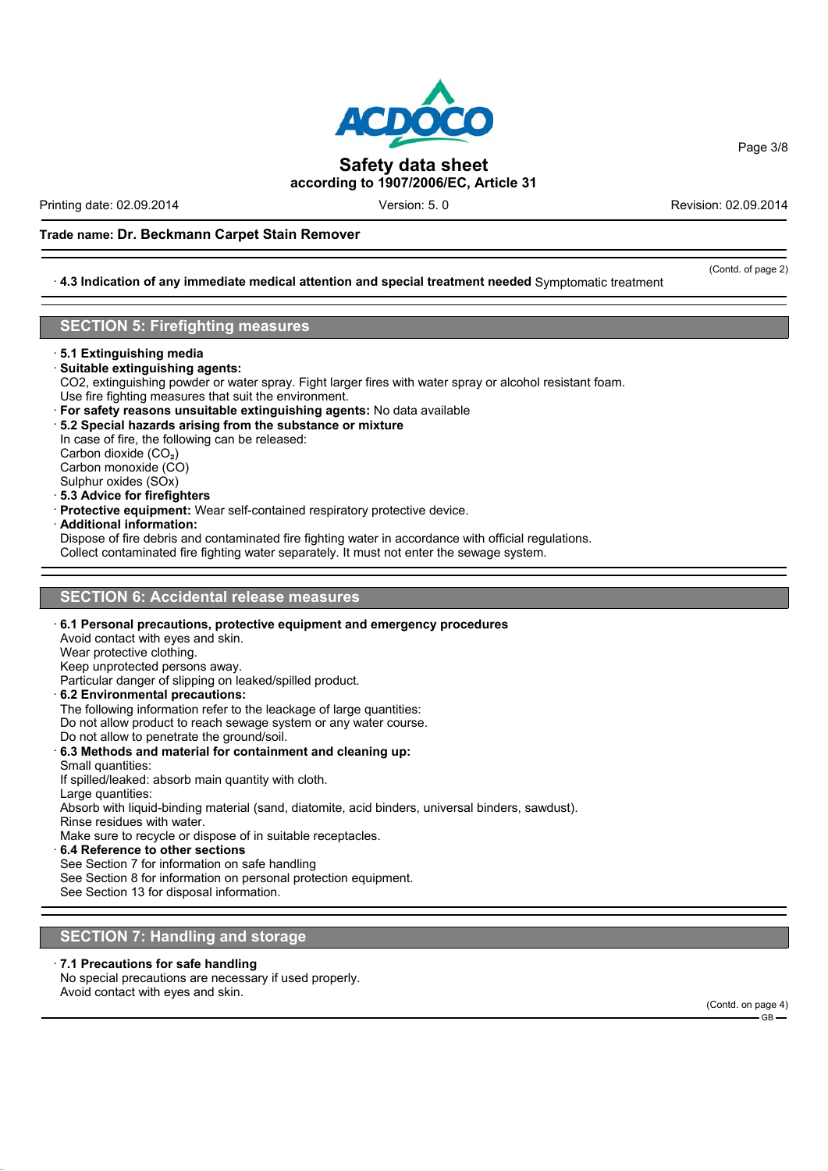

Printing date: 02.09.2014 **Version: 5.0** Version: 5. 0 Revision: 02.09.2014

#### **Trade name: Dr. Beckmann Carpet Stain Remover**

#### · **4.3 Indication of any immediate medical attention and special treatment needed** Symptomatic treatment

#### **SECTION 5: Firefighting measures**

· **5.1 Extinguishing media**

#### · **Suitable extinguishing agents:**

- CO2, extinguishing powder or water spray. Fight larger fires with water spray or alcohol resistant foam.
- Use fire fighting measures that suit the environment.
- · **For safety reasons unsuitable extinguishing agents:** No data available
- · **5.2 Special hazards arising from the substance or mixture**

In case of fire, the following can be released:

Carbon dioxide (CO<sub>2</sub>)

Carbon monoxide (CO) Sulphur oxides (SOx)

- · **5.3 Advice for firefighters**
- 
- · **Protective equipment:** Wear self-contained respiratory protective device.
- · **Additional information:**

Dispose of fire debris and contaminated fire fighting water in accordance with official regulations.

Collect contaminated fire fighting water separately. It must not enter the sewage system.

#### **SECTION 6: Accidental release measures**

#### · **6.1 Personal precautions, protective equipment and emergency procedures**

Avoid contact with eyes and skin.

Wear protective clothing.

Keep unprotected persons away.

Particular danger of slipping on leaked/spilled product.

· **6.2 Environmental precautions:**

The following information refer to the leackage of large quantities:

Do not allow product to reach sewage system or any water course.

Do not allow to penetrate the ground/soil.

#### · **6.3 Methods and material for containment and cleaning up:**

Small quantities:

If spilled/leaked: absorb main quantity with cloth.

Large quantities:

Absorb with liquid-binding material (sand, diatomite, acid binders, universal binders, sawdust).

Rinse residues with water.

Make sure to recycle or dispose of in suitable receptacles.

· **6.4 Reference to other sections**

See Section 7 for information on safe handling

See Section 8 for information on personal protection equipment.

See Section 13 for disposal information.

#### **SECTION 7: Handling and storage**

#### · **7.1 Precautions for safe handling**

No special precautions are necessary if used properly. Avoid contact with eyes and skin.

(Contd. on page 4)  $-$  GB  $-$ 

Page 3/8

(Contd. of page 2)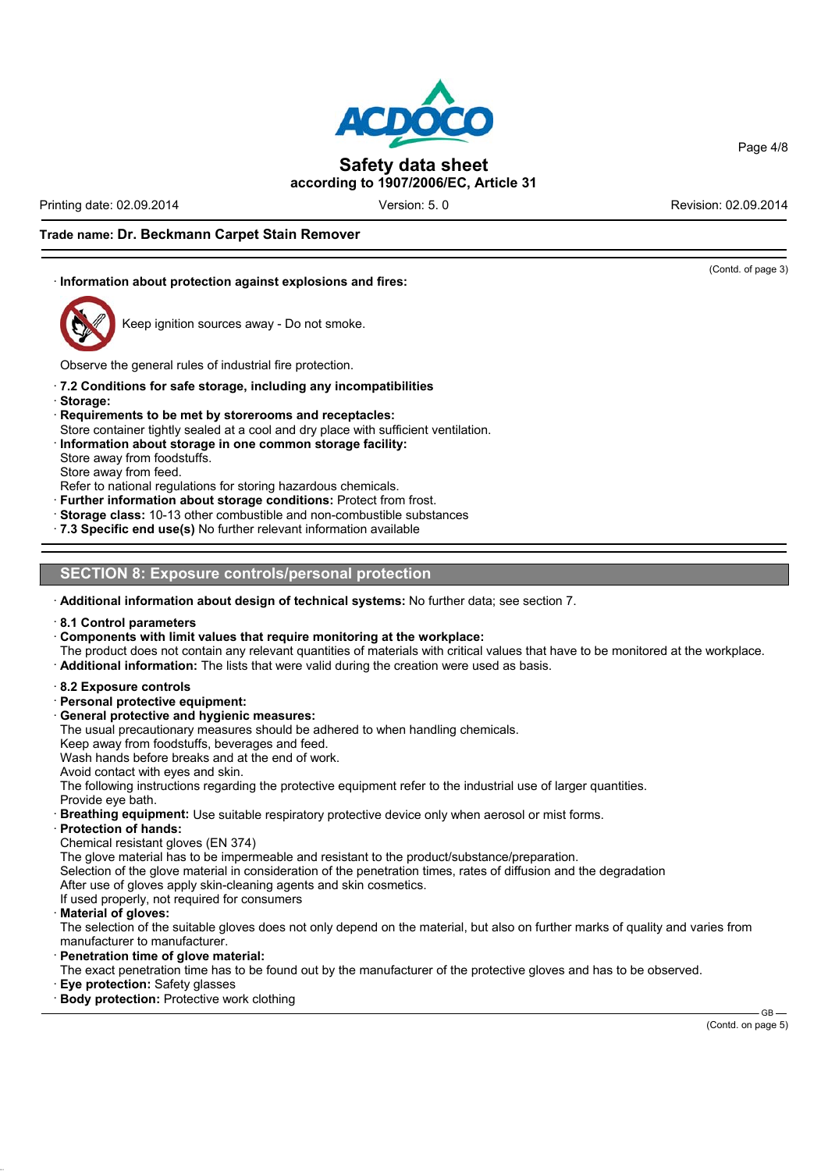

Printing date: 02.09.2014 **Version: 5.0** Version: 5. 0 Revision: 02.09.2014

Page 4/8

#### **Trade name: Dr. Beckmann Carpet Stain Remover**

#### · **Information about protection against explosions and fires:**



Keep ignition sources away - Do not smoke.

Observe the general rules of industrial fire protection.

- · **7.2 Conditions for safe storage, including any incompatibilities**
- · **Storage:**
- · **Requirements to be met by storerooms and receptacles:**
- Store container tightly sealed at a cool and dry place with sufficient ventilation.
- · **Information about storage in one common storage facility:**
- Store away from foodstuffs.

Store away from feed.

- Refer to national regulations for storing hazardous chemicals.
- **Further information about storage conditions:** Protect from frost.
- · **Storage class:** 10-13 other combustible and non-combustible substances
- · **7.3 Specific end use(s)** No further relevant information available

#### **SECTION 8: Exposure controls/personal protection**

- · **Additional information about design of technical systems:** No further data; see section 7.
- · **8.1 Control parameters**
- · **Components with limit values that require monitoring at the workplace:**
- The product does not contain any relevant quantities of materials with critical values that have to be monitored at the workplace.
- · **Additional information:** The lists that were valid during the creation were used as basis.
- · **8.2 Exposure controls**
- · **Personal protective equipment:**
- · **General protective and hygienic measures:**
- The usual precautionary measures should be adhered to when handling chemicals.

Keep away from foodstuffs, beverages and feed.

Wash hands before breaks and at the end of work.

Avoid contact with eyes and skin.

The following instructions regarding the protective equipment refer to the industrial use of larger quantities. Provide eye bath.

- **Breathing equipment:** Use suitable respiratory protective device only when aerosol or mist forms.
- · **Protection of hands:**
- Chemical resistant gloves (EN 374)

The glove material has to be impermeable and resistant to the product/substance/preparation.

Selection of the glove material in consideration of the penetration times, rates of diffusion and the degradation

After use of gloves apply skin-cleaning agents and skin cosmetics.

If used properly, not required for consumers

· **Material of gloves:**

The selection of the suitable gloves does not only depend on the material, but also on further marks of quality and varies from manufacturer to manufacturer.

· **Penetration time of glove material:**

The exact penetration time has to be found out by the manufacturer of the protective gloves and has to be observed.

- **Eve protection: Safety glasses**
- · **Body protection:** Protective work clothing

## (Contd. of page 3)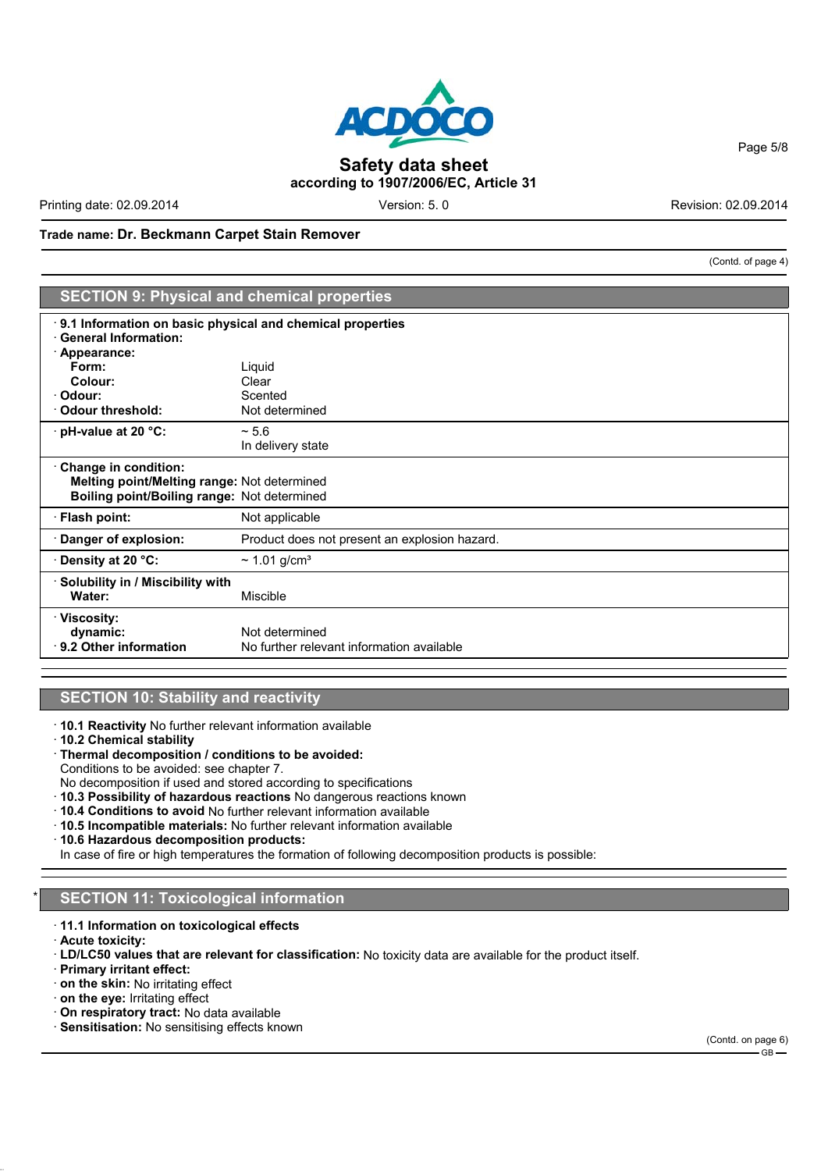# **ACDO® Safety data sheet**

Printing date: 02.09.2014 **Version: 5.0** Version: 5. 0 Revision: 02.09.2014

**according to 1907/2006/EC, Article 31**

**Trade name: Dr. Beckmann Carpet Stain Remover**

**SECTION 9: Physical and chemical properties** · **9.1 Information on basic physical and chemical properties** · **General Information:** · **Appearance: Form:** Liquid **Colour:** Clear<br> **Colour:** Clear<br>
Scented · **Odour:** Scented · **Odour threshold:** Not determined · **pH-value at 20 °C:** ~ 5.6 In delivery state · **Change in condition: Melting point/Melting range:** Not determined **Boiling point/Boiling range:** Not determined · **Flash point:** Not applicable · **Danger of explosion:** Product does not present an explosion hazard. · **Density at 20 °C:** ~ 1.01 g/cm³ · **Solubility in / Miscibility with** Water: Miscible · **Viscosity: dynamic:** Not determined<br>**9.2 Other information** No further relev No further relevant information available

#### **SECTION 10: Stability and reactivity**

- · **10.1 Reactivity** No further relevant information available
- · **10.2 Chemical stability**
- · **Thermal decomposition / conditions to be avoided:**
- Conditions to be avoided: see chapter 7.
- No decomposition if used and stored according to specifications
- · **10.3 Possibility of hazardous reactions** No dangerous reactions known
- · **10.4 Conditions to avoid** No further relevant information available
- · **10.5 Incompatible materials:** No further relevant information available
- · **10.6 Hazardous decomposition products:**

In case of fire or high temperatures the formation of following decomposition products is possible:

#### **SECTION 11: Toxicological information**

- · **11.1 Information on toxicological effects**
- · **Acute toxicity:**
- · **LD/LC50 values that are relevant for classification:** No toxicity data are available for the product itself.
- · **Primary irritant effect:**
- · **on the skin:** No irritating effect
- · **on the eye:** Irritating effect
- · **On respiratory tract:** No data available
- · **Sensitisation:** No sensitising effects known



(Contd. of page 4)

Page 5/8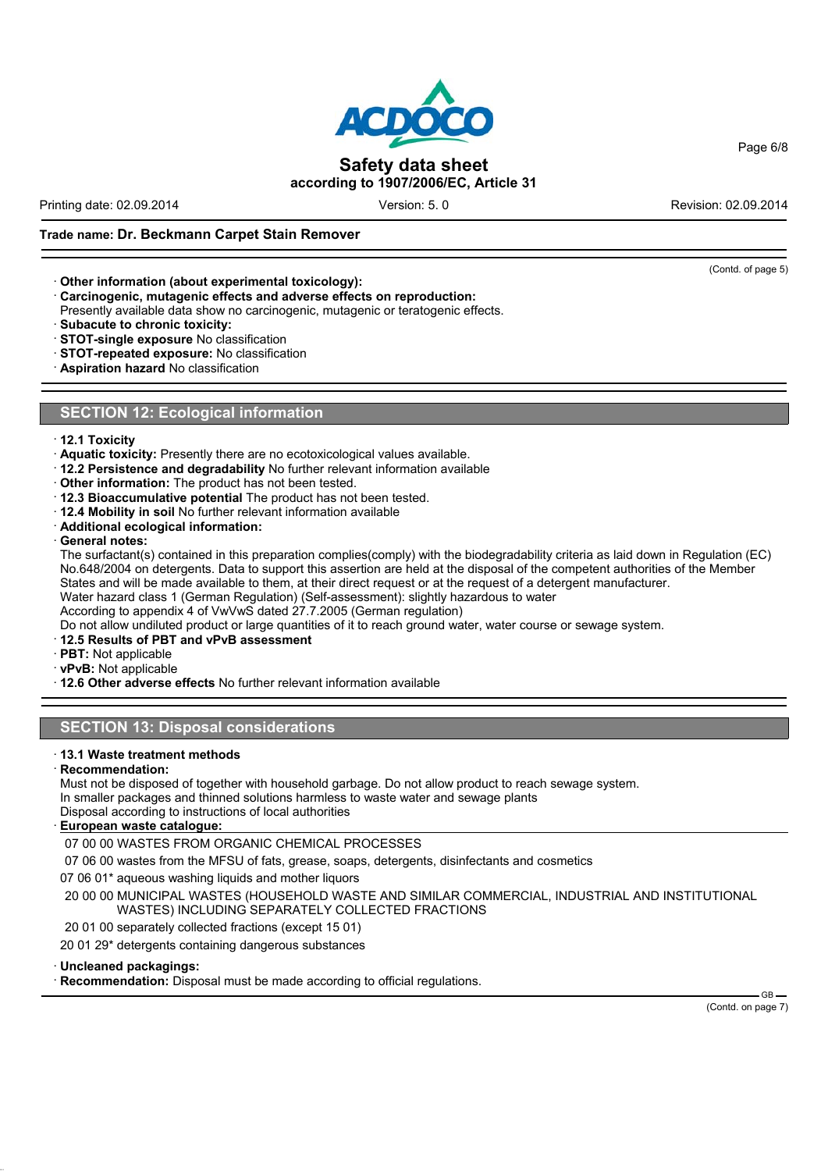Printing date: 02.09.2014 **Version: 5.0** Version: 5. 0 Revision: 02.09.2014

#### **Trade name: Dr. Beckmann Carpet Stain Remover**

- · **Other information (about experimental toxicology):**
- · **Carcinogenic, mutagenic effects and adverse effects on reproduction:**
- Presently available data show no carcinogenic, mutagenic or teratogenic effects.
- · **Subacute to chronic toxicity:**
- · **STOT-single exposure** No classification
- · **STOT-repeated exposure:** No classification
- · **Aspiration hazard** No classification

#### **SECTION 12: Ecological information**

- · **12.1 Toxicity**
- · **Aquatic toxicity:** Presently there are no ecotoxicological values available.
- · **12.2 Persistence and degradability** No further relevant information available
- · **Other information:** The product has not been tested.
- · **12.3 Bioaccumulative potential** The product has not been tested.
- · **12.4 Mobility in soil** No further relevant information available
- · **Additional ecological information:**
- · **General notes:**

The surfactant(s) contained in this preparation complies(comply) with the biodegradability criteria as laid down in Regulation (EC) No.648/2004 on detergents. Data to support this assertion are held at the disposal of the competent authorities of the Member States and will be made available to them, at their direct request or at the request of a detergent manufacturer. Water hazard class 1 (German Regulation) (Self-assessment): slightly hazardous to water

According to appendix 4 of VwVwS dated 27.7.2005 (German regulation)

Do not allow undiluted product or large quantities of it to reach ground water, water course or sewage system.

· **12.5 Results of PBT and vPvB assessment**

- · **PBT:** Not applicable
- · **vPvB:** Not applicable

· **12.6 Other adverse effects** No further relevant information available

#### **SECTION 13: Disposal considerations**

- · **13.1 Waste treatment methods**
- · **Recommendation:**

Must not be disposed of together with household garbage. Do not allow product to reach sewage system.

- In smaller packages and thinned solutions harmless to waste water and sewage plants
- Disposal according to instructions of local authorities

#### · **European waste catalogue:**

07 00 00 WASTES FROM ORGANIC CHEMICAL PROCESSES

07 06 00 wastes from the MFSU of fats, grease, soaps, detergents, disinfectants and cosmetics

07 06 01\* aqueous washing liquids and mother liquors

20 00 00 MUNICIPAL WASTES (HOUSEHOLD WASTE AND SIMILAR COMMERCIAL, INDUSTRIAL AND INSTITUTIONAL WASTES) INCLUDING SEPARATELY COLLECTED FRACTIONS

20 01 00 separately collected fractions (except 15 01)

20 01 29\* detergents containing dangerous substances

#### · **Uncleaned packagings:**

· **Recommendation:** Disposal must be made according to official regulations.

GB-(Contd. on page 7)



Page 6/8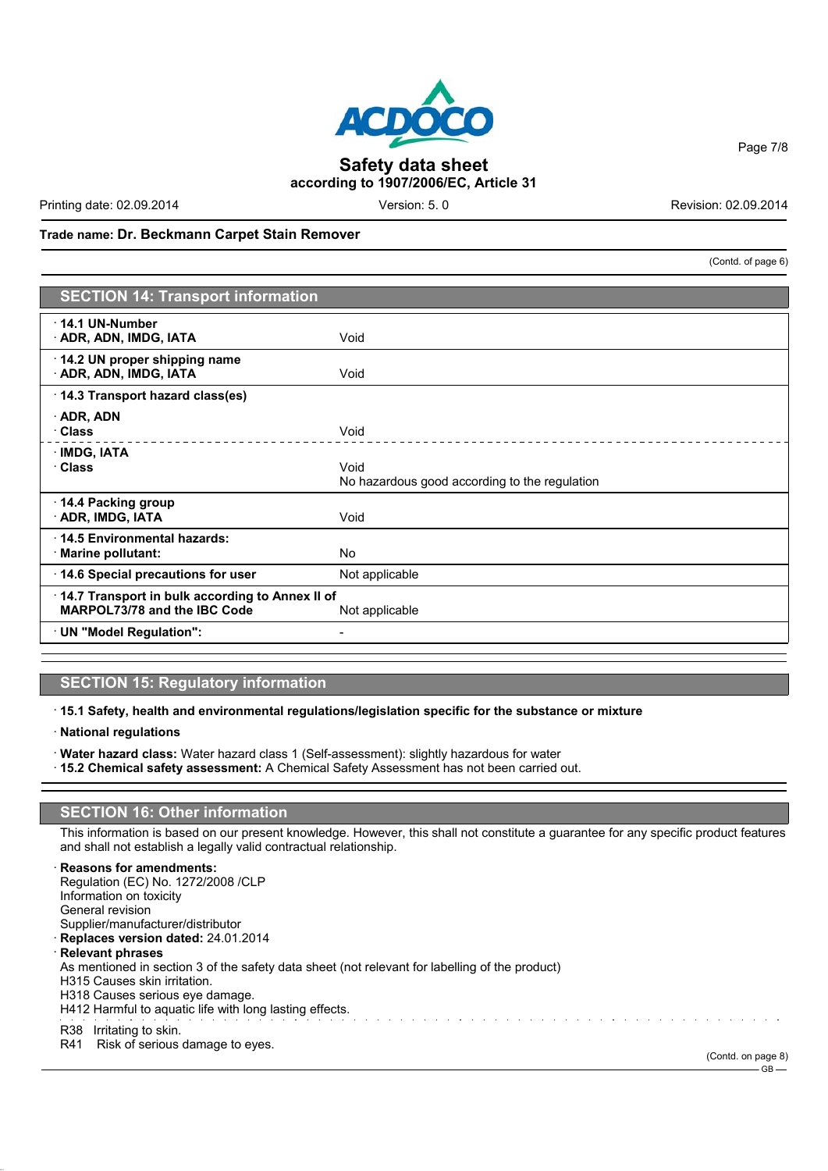# **Safety data sheet**

Printing date: 02.09.2014 **Version: 5.0** Version: 5. 0 Revision: 02.09.2014

**according to 1907/2006/EC, Article 31**

(Contd. of page 6)

GB

#### **Trade name: Dr. Beckmann Carpet Stain Remover**

**SECTION 14: Transport information**

#### · **14.1 UN-Number ADR, ADN, IMDG, IATA** Void · **14.2 UN proper shipping name** · **ADR, ADN, IMDG, IATA** Void · **14.3 Transport hazard class(es)** · **ADR, ADN** · **Class** Void · **IMDG, IATA** · **Class** Void No hazardous good according to the regulation · **14.4 Packing group ADR, IMDG, IATA** Void · **14.5 Environmental hazards:** · **Marine pollutant:** No **14.6 Special precautions for user** Not applicable · **14.7 Transport in bulk according to Annex II of MARPOL73/78 and the IBC Code** Not applicable

#### **SECTION 15: Regulatory information**

· **UN "Model Regulation":** -

- · **15.1 Safety, health and environmental regulations/legislation specific for the substance or mixture**
- · **National regulations**
- · **Water hazard class:** Water hazard class 1 (Self-assessment): slightly hazardous for water
- · **15.2 Chemical safety assessment:** A Chemical Safety Assessment has not been carried out.

#### **SECTION 16: Other information**

This information is based on our present knowledge. However, this shall not constitute a guarantee for any specific product features and shall not establish a legally valid contractual relationship.

#### · **Reasons for amendments:**

Regulation (EC) No. 1272/2008 /CLP Information on toxicity General revision Supplier/manufacturer/distributor · **Replaces version dated:** 24.01.2014 · **Relevant phrases** As mentioned in section 3 of the safety data sheet (not relevant for labelling of the product) H315 Causes skin irritation. H318 Causes serious eye damage. H412 Harmful to aquatic life with long lasting effects. R38 Irritating to skin. R41 Risk of serious damage to eyes. (Contd. on page 8)

Page 7/8